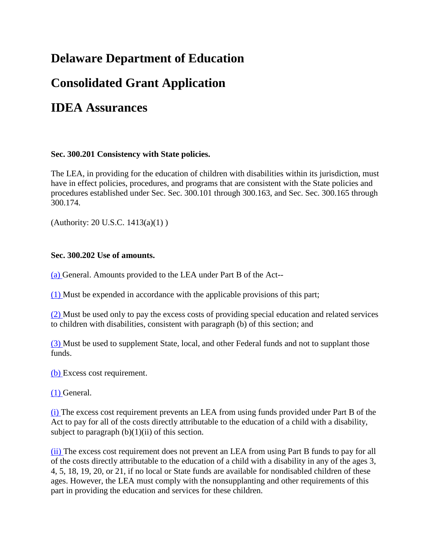# **Delaware Department of Education**

# **Consolidated Grant Application**

# **IDEA Assurances**

## **Sec. 300.201 Consistency with State policies.**

The LEA, in providing for the education of children with disabilities within its jurisdiction, must have in effect policies, procedures, and programs that are consistent with the State policies and procedures established under Sec. Sec. 300.101 through 300.163, and Sec. Sec. 300.165 through 300.174.

(Authority: 20 U.S.C. 1413(a)(1) )

## **Sec. 300.202 Use of amounts.**

[\(a\) G](http://idea.ed.gov/explore/view/p/%2Croot%2Cregs%2C300%2CC%2C300%252E202%2Ca%2C)eneral. Amounts provided to the LEA under Part B of the Act--

[\(1\) M](http://idea.ed.gov/explore/view/p/%2Croot%2Cregs%2C300%2CC%2C300%252E202%2Ca%2C1%2C)ust be expended in accordance with the applicable provisions of this part;

[\(2\) M](http://idea.ed.gov/explore/view/p/%2Croot%2Cregs%2C300%2CC%2C300%252E202%2Ca%2C2%2C)ust be used only to pay the excess costs of providing special education and related services to children with disabilities, consistent with paragraph (b) of this section; and

[\(3\) M](http://idea.ed.gov/explore/view/p/%2Croot%2Cregs%2C300%2CC%2C300%252E202%2Ca%2C3%2C)ust be used to supplement State, local, and other Federal funds and not to supplant those funds.

[\(b\) E](http://idea.ed.gov/explore/view/p/%2Croot%2Cregs%2C300%2CC%2C300%252E202%2Cb%2C)xcess cost requirement.

[\(1\) G](http://idea.ed.gov/explore/view/p/%2Croot%2Cregs%2C300%2CC%2C300%252E202%2Cb%2C1%2C)eneral.

[\(i\) T](http://idea.ed.gov/explore/view/p/%2Croot%2Cregs%2C300%2CC%2C300%252E202%2Cb%2C1%2Ci%2C)he excess cost requirement prevents an LEA from using funds provided under Part B of the Act to pay for all of the costs directly attributable to the education of a child with a disability, subject to paragraph  $(b)(1)(ii)$  of this section.

[\(ii\) T](http://idea.ed.gov/explore/view/p/%2Croot%2Cregs%2C300%2CC%2C300%252E202%2Cb%2C1%2Cii%2C)he excess cost requirement does not prevent an LEA from using Part B funds to pay for all of the costs directly attributable to the education of a child with a disability in any of the ages 3, 4, 5, 18, 19, 20, or 21, if no local or State funds are available for nondisabled children of these ages. However, the LEA must comply with the nonsupplanting and other requirements of this part in providing the education and services for these children.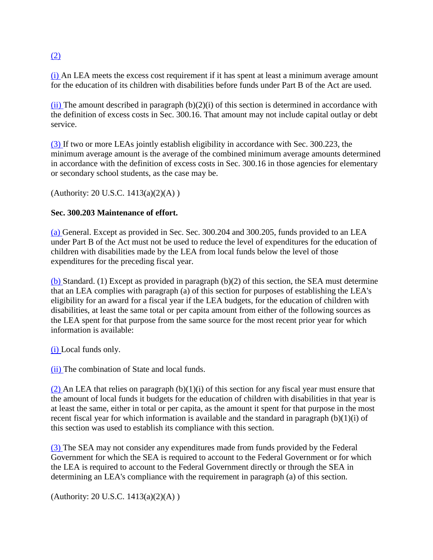# [\(2\)](http://idea.ed.gov/explore/view/p/%2Croot%2Cregs%2C300%2CC%2C300%252E202%2Cb%2C2%2C)

[\(i\) A](http://idea.ed.gov/explore/view/p/%2Croot%2Cregs%2C300%2CC%2C300%252E202%2Cb%2C2%2Ci%2C)n LEA meets the excess cost requirement if it has spent at least a minimum average amount for the education of its children with disabilities before funds under Part B of the Act are used.

 $(ii)$  The amount described in paragraph  $(b)(2)(i)$  of this section is determined in accordance with the definition of excess costs in Sec. 300.16. That amount may not include capital outlay or debt service.

[\(3\) I](http://idea.ed.gov/explore/view/p/%2Croot%2Cregs%2C300%2CC%2C300%252E202%2Cb%2C3%2C)f two or more LEAs jointly establish eligibility in accordance with Sec. 300.223, the minimum average amount is the average of the combined minimum average amounts determined in accordance with the definition of excess costs in Sec. 300.16 in those agencies for elementary or secondary school students, as the case may be.

(Authority: 20 U.S.C. 1413(a)(2)(A) )

## **Sec. 300.203 Maintenance of effort.**

[\(a\) G](http://idea.ed.gov/explore/view/p/%2Croot%2Cregs%2C300%2CC%2C300%252E203%2Ca%2C)eneral. Except as provided in Sec. Sec. 300.204 and 300.205, funds provided to an LEA under Part B of the Act must not be used to reduce the level of expenditures for the education of children with disabilities made by the LEA from local funds below the level of those expenditures for the preceding fiscal year.

[\(b\) S](http://idea.ed.gov/explore/view/p/%2Croot%2Cregs%2C300%2CC%2C300%252E203%2Cb%2C)tandard. (1) Except as provided in paragraph (b)(2) of this section, the SEA must determine that an LEA complies with paragraph (a) of this section for purposes of establishing the LEA's eligibility for an award for a fiscal year if the LEA budgets, for the education of children with disabilities, at least the same total or per capita amount from either of the following sources as the LEA spent for that purpose from the same source for the most recent prior year for which information is available:

[\(i\) L](http://idea.ed.gov/explore/view/p/%2Croot%2Cregs%2C300%2CC%2C300%252E203%2Ci%2C)ocal funds only.

[\(ii\) T](http://idea.ed.gov/explore/view/p/%2Croot%2Cregs%2C300%2CC%2C300%252E203%2Ci%2Cii%2C)he combination of State and local funds.

[\(2\) A](http://idea.ed.gov/explore/view/p/%2Croot%2Cregs%2C300%2CC%2C300%252E203%2Ci%2C2%2C)n LEA that relies on paragraph  $(b)(1)(i)$  of this section for any fiscal year must ensure that the amount of local funds it budgets for the education of children with disabilities in that year is at least the same, either in total or per capita, as the amount it spent for that purpose in the most recent fiscal year for which information is available and the standard in paragraph  $(b)(1)(i)$  of this section was used to establish its compliance with this section.

[\(3\) T](http://idea.ed.gov/explore/view/p/%2Croot%2Cregs%2C300%2CC%2C300%252E203%2Ci%2C3%2C)he SEA may not consider any expenditures made from funds provided by the Federal Government for which the SEA is required to account to the Federal Government or for which the LEA is required to account to the Federal Government directly or through the SEA in determining an LEA's compliance with the requirement in paragraph (a) of this section.

(Authority: 20 U.S.C. 1413(a)(2)(A))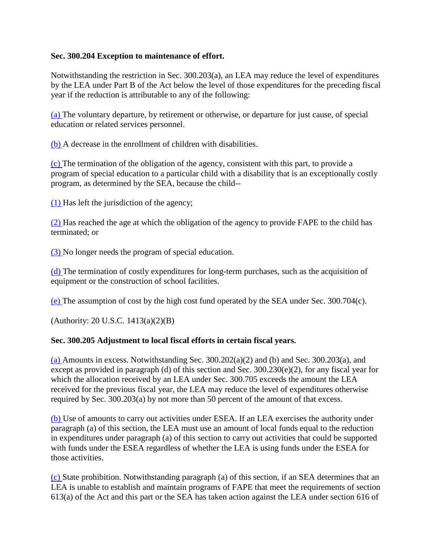## **Sec. 300.204 Exception to maintenance of effort.**

Notwithstanding the restriction in Sec. 300.203(a), an LEA may reduce the level of expenditures by the LEA under Part B of the Act below the level of those expenditures for the preceding fiscal year if the reduction is attributable to any of the following:

[\(a\) T](http://idea.ed.gov/explore/view/p/%2Croot%2Cregs%2C300%2CC%2C300%252E204%2Ca%2C)he voluntary departure, by retirement or otherwise, or departure for just cause, of special education or related services personnel.

[\(b\) A](http://idea.ed.gov/explore/view/p/%2Croot%2Cregs%2C300%2CC%2C300%252E204%2Cb%2C) decrease in the enrollment of children with disabilities.

[\(c\) T](http://idea.ed.gov/explore/view/p/%2Croot%2Cregs%2C300%2CC%2C300%252E204%2Cc%2C)he termination of the obligation of the agency, consistent with this part, to provide a program of special education to a particular child with a disability that is an exceptionally costly program, as determined by the SEA, because the child--

[\(1\) H](http://idea.ed.gov/explore/view/p/%2Croot%2Cregs%2C300%2CC%2C300%252E204%2Cc%2C1%2C)as left the jurisdiction of the agency;

[\(2\) H](http://idea.ed.gov/explore/view/p/%2Croot%2Cregs%2C300%2CC%2C300%252E204%2Cc%2C2%2C)as reached the age at which the obligation of the agency to provide FAPE to the child has terminated; or

[\(3\) N](http://idea.ed.gov/explore/view/p/%2Croot%2Cregs%2C300%2CC%2C300%252E204%2Cc%2C3%2C)o longer needs the program of special education.

[\(d\) T](http://idea.ed.gov/explore/view/p/%2Croot%2Cregs%2C300%2CC%2C300%252E204%2Cd%2C)he termination of costly expenditures for long-term purchases, such as the acquisition of equipment or the construction of school facilities.

[\(e\) T](http://idea.ed.gov/explore/view/p/%2Croot%2Cregs%2C300%2CC%2C300%252E204%2Ce%2C)he assumption of cost by the high cost fund operated by the SEA under Sec. 300.704(c).

(Authority: 20 U.S.C. 1413(a)(2)(B)

## **Sec. 300.205 Adjustment to local fiscal efforts in certain fiscal years.**

[\(a\) A](http://idea.ed.gov/explore/view/p/%2Croot%2Cregs%2C300%2CC%2C300%252E205%2Ca%2C)mounts in excess. Notwithstanding Sec. 300.202(a)(2) and (b) and Sec. 300.203(a), and except as provided in paragraph (d) of this section and Sec. 300.230(e)(2), for any fiscal year for which the allocation received by an LEA under Sec. 300.705 exceeds the amount the LEA received for the previous fiscal year, the LEA may reduce the level of expenditures otherwise required by Sec. 300.203(a) by not more than 50 percent of the amount of that excess.

[\(b\) U](http://idea.ed.gov/explore/view/p/%2Croot%2Cregs%2C300%2CC%2C300%252E205%2Cb%2C)se of amounts to carry out activities under ESEA. If an LEA exercises the authority under paragraph (a) of this section, the LEA must use an amount of local funds equal to the reduction in expenditures under paragraph (a) of this section to carry out activities that could be supported with funds under the ESEA regardless of whether the LEA is using funds under the ESEA for those activities.

[\(c\) S](http://idea.ed.gov/explore/view/p/%2Croot%2Cregs%2C300%2CC%2C300%252E205%2Cc%2C)tate prohibition. Notwithstanding paragraph (a) of this section, if an SEA determines that an LEA is unable to establish and maintain programs of FAPE that meet the requirements of section 613(a) of the Act and this part or the SEA has taken action against the LEA under section 616 of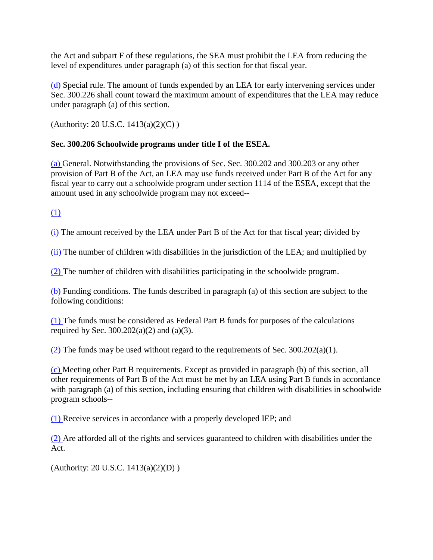the Act and subpart F of these regulations, the SEA must prohibit the LEA from reducing the level of expenditures under paragraph (a) of this section for that fiscal year.

[\(d\) S](http://idea.ed.gov/explore/view/p/%2Croot%2Cregs%2C300%2CC%2C300%252E205%2Cd%2C)pecial rule. The amount of funds expended by an LEA for early intervening services under Sec. 300.226 shall count toward the maximum amount of expenditures that the LEA may reduce under paragraph (a) of this section.

(Authority: 20 U.S.C.  $1413(a)(2)(C)$ )

# **Sec. 300.206 Schoolwide programs under title I of the ESEA.**

[\(a\) G](http://idea.ed.gov/explore/view/p/%2Croot%2Cregs%2C300%2CC%2C300%252E206%2Ca%2C)eneral. Notwithstanding the provisions of Sec. Sec. 300.202 and 300.203 or any other provision of Part B of the Act, an LEA may use funds received under Part B of the Act for any fiscal year to carry out a schoolwide program under section 1114 of the ESEA, except that the amount used in any schoolwide program may not exceed--

[\(1\)](http://idea.ed.gov/explore/view/p/%2Croot%2Cregs%2C300%2CC%2C300%252E206%2Ca%2C1%2C) 

[\(i\) T](http://idea.ed.gov/explore/view/p/%2Croot%2Cregs%2C300%2CC%2C300%252E206%2Ca%2C1%2Ci%2C)he amount received by the LEA under Part B of the Act for that fiscal year; divided by

[\(ii\) T](http://idea.ed.gov/explore/view/p/%2Croot%2Cregs%2C300%2CC%2C300%252E206%2Ca%2C1%2Cii%2C)he number of children with disabilities in the jurisdiction of the LEA; and multiplied by

[\(2\) T](http://idea.ed.gov/explore/view/p/%2Croot%2Cregs%2C300%2CC%2C300%252E206%2Ca%2C2%2C)he number of children with disabilities participating in the schoolwide program.

[\(b\) F](http://idea.ed.gov/explore/view/p/%2Croot%2Cregs%2C300%2CC%2C300%252E206%2Cb%2C)unding conditions. The funds described in paragraph (a) of this section are subject to the following conditions:

[\(1\) T](http://idea.ed.gov/explore/view/p/%2Croot%2Cregs%2C300%2CC%2C300%252E206%2Cb%2C1%2C)he funds must be considered as Federal Part B funds for purposes of the calculations required by Sec.  $300.202(a)(2)$  and  $(a)(3)$ .

[\(2\) T](http://idea.ed.gov/explore/view/p/%2Croot%2Cregs%2C300%2CC%2C300%252E206%2Cb%2C2%2C)he funds may be used without regard to the requirements of Sec.  $300.202(a)(1)$ .

[\(c\) M](http://idea.ed.gov/explore/view/p/%2Croot%2Cregs%2C300%2CC%2C300%252E206%2Cc%2C)eeting other Part B requirements. Except as provided in paragraph (b) of this section, all other requirements of Part B of the Act must be met by an LEA using Part B funds in accordance with paragraph (a) of this section, including ensuring that children with disabilities in schoolwide program schools--

[\(1\) R](http://idea.ed.gov/explore/view/p/%2Croot%2Cregs%2C300%2CC%2C300%252E206%2Cc%2C1%2C)eceive services in accordance with a properly developed IEP; and

[\(2\) A](http://idea.ed.gov/explore/view/p/%2Croot%2Cregs%2C300%2CC%2C300%252E206%2Cc%2C2%2C)re afforded all of the rights and services guaranteed to children with disabilities under the Act.

(Authority: 20 U.S.C. 1413(a)(2)(D) )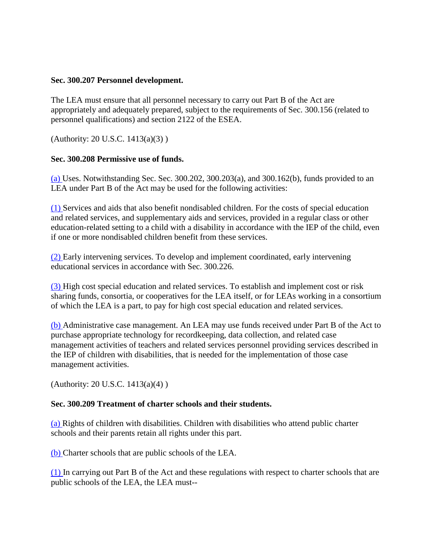### **Sec. 300.207 Personnel development.**

The LEA must ensure that all personnel necessary to carry out Part B of the Act are appropriately and adequately prepared, subject to the requirements of Sec. 300.156 (related to personnel qualifications) and section 2122 of the ESEA.

(Authority: 20 U.S.C. 1413(a)(3) )

## **Sec. 300.208 Permissive use of funds.**

 $(a)$  Uses. Notwithstanding Sec. Sec. 300.202, 300.203 $(a)$ , and 300.162 $(b)$ , funds provided to an LEA under Part B of the Act may be used for the following activities:

[\(1\) S](http://idea.ed.gov/explore/view/p/%2Croot%2Cregs%2C300%2CC%2C300%252E208%2Ca%2C1%2C)ervices and aids that also benefit nondisabled children. For the costs of special education and related services, and supplementary aids and services, provided in a regular class or other education-related setting to a child with a disability in accordance with the IEP of the child, even if one or more nondisabled children benefit from these services.

[\(2\) E](http://idea.ed.gov/explore/view/p/%2Croot%2Cregs%2C300%2CC%2C300%252E208%2Ca%2C2%2C)arly intervening services. To develop and implement coordinated, early intervening educational services in accordance with Sec. 300.226.

[\(3\) H](http://idea.ed.gov/explore/view/p/%2Croot%2Cregs%2C300%2CC%2C300%252E208%2Ca%2C3%2C)igh cost special education and related services. To establish and implement cost or risk sharing funds, consortia, or cooperatives for the LEA itself, or for LEAs working in a consortium of which the LEA is a part, to pay for high cost special education and related services.

[\(b\) A](http://idea.ed.gov/explore/view/p/%2Croot%2Cregs%2C300%2CC%2C300%252E208%2Cb%2C)dministrative case management. An LEA may use funds received under Part B of the Act to purchase appropriate technology for recordkeeping, data collection, and related case management activities of teachers and related services personnel providing services described in the IEP of children with disabilities, that is needed for the implementation of those case management activities.

(Authority: 20 U.S.C. 1413(a)(4) )

### **Sec. 300.209 Treatment of charter schools and their students.**

[\(a\) R](http://idea.ed.gov/explore/view/p/%2Croot%2Cregs%2C300%2CC%2C300%252E209%2Ca%2C)ights of children with disabilities. Children with disabilities who attend public charter schools and their parents retain all rights under this part.

[\(b\) C](http://idea.ed.gov/explore/view/p/%2Croot%2Cregs%2C300%2CC%2C300%252E209%2Cb%2C)harter schools that are public schools of the LEA.

[\(1\) I](http://idea.ed.gov/explore/view/p/%2Croot%2Cregs%2C300%2CC%2C300%252E209%2Cb%2C1%2C)n carrying out Part B of the Act and these regulations with respect to charter schools that are public schools of the LEA, the LEA must--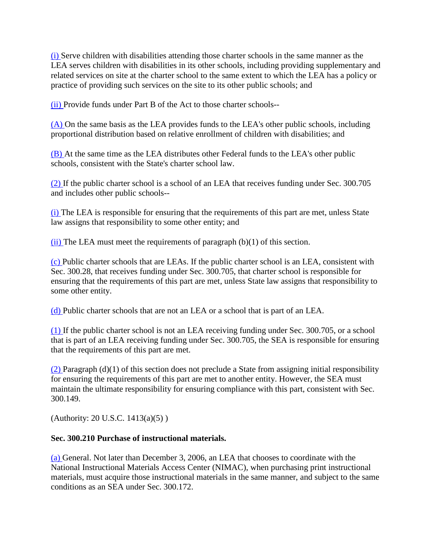[\(i\) S](http://idea.ed.gov/explore/view/p/%2Croot%2Cregs%2C300%2CC%2C300%252E209%2Cb%2C1%2Ci%2C)erve children with disabilities attending those charter schools in the same manner as the LEA serves children with disabilities in its other schools, including providing supplementary and related services on site at the charter school to the same extent to which the LEA has a policy or practice of providing such services on the site to its other public schools; and

[\(ii\) P](http://idea.ed.gov/explore/view/p/%2Croot%2Cregs%2C300%2CC%2C300%252E209%2Cb%2C1%2Cii%2C)rovide funds under Part B of the Act to those charter schools--

[\(A\) O](http://idea.ed.gov/explore/view/p/%2Croot%2Cregs%2C300%2CC%2C300%252E209%2Cb%2C1%2Cii%2CA%2C)n the same basis as the LEA provides funds to the LEA's other public schools, including proportional distribution based on relative enrollment of children with disabilities; and

[\(B\) A](http://idea.ed.gov/explore/view/p/%2Croot%2Cregs%2C300%2CC%2C300%252E209%2Cb%2C1%2Cii%2CB%2C)t the same time as the LEA distributes other Federal funds to the LEA's other public schools, consistent with the State's charter school law.

[\(2\) I](http://idea.ed.gov/explore/view/p/%2Croot%2Cregs%2C300%2CC%2C300%252E209%2Cb%2C2%2C)f the public charter school is a school of an LEA that receives funding under Sec. 300.705 and includes other public schools--

[\(i\) T](http://idea.ed.gov/explore/view/p/%2Croot%2Cregs%2C300%2CC%2C300%252E209%2Cb%2C2%2Ci%2C)he LEA is responsible for ensuring that the requirements of this part are met, unless State law assigns that responsibility to some other entity; and

 $(ii)$  The LEA must meet the requirements of paragraph (b)(1) of this section.

[\(c\) P](http://idea.ed.gov/explore/view/p/%2Croot%2Cregs%2C300%2CC%2C300%252E209%2Cc%2C)ublic charter schools that are LEAs. If the public charter school is an LEA, consistent with Sec. 300.28, that receives funding under Sec. 300.705, that charter school is responsible for ensuring that the requirements of this part are met, unless State law assigns that responsibility to some other entity.

[\(d\) P](http://idea.ed.gov/explore/view/p/%2Croot%2Cregs%2C300%2CC%2C300%252E209%2Cd%2C)ublic charter schools that are not an LEA or a school that is part of an LEA.

[\(1\) I](http://idea.ed.gov/explore/view/p/%2Croot%2Cregs%2C300%2CC%2C300%252E209%2Cd%2C1%2C)f the public charter school is not an LEA receiving funding under Sec. 300.705, or a school that is part of an LEA receiving funding under Sec. 300.705, the SEA is responsible for ensuring that the requirements of this part are met.

 $(2)$  Paragraph (d)(1) of this section does not preclude a State from assigning initial responsibility for ensuring the requirements of this part are met to another entity. However, the SEA must maintain the ultimate responsibility for ensuring compliance with this part, consistent with Sec. 300.149.

(Authority: 20 U.S.C. 1413(a)(5) )

## **Sec. 300.210 Purchase of instructional materials.**

[\(a\) G](http://idea.ed.gov/explore/view/p/%2Croot%2Cregs%2C300%2CC%2C300%252E210%2Ca%2C)eneral. Not later than December 3, 2006, an LEA that chooses to coordinate with the National Instructional Materials Access Center (NIMAC), when purchasing print instructional materials, must acquire those instructional materials in the same manner, and subject to the same conditions as an SEA under Sec. 300.172.